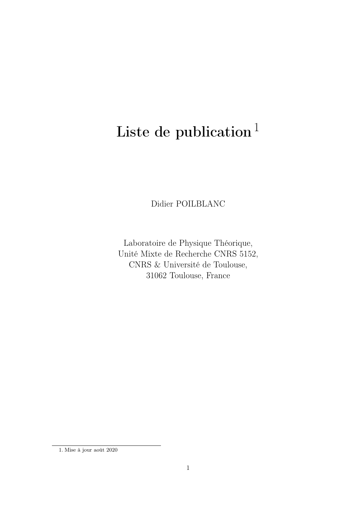# Liste de publication $<sup>1</sup>$ </sup>

Didier POILBLANC

Laboratoire de Physique Théorique, Unité Mixte de Recherche CNRS 5152, CNRS & Université de Toulouse, 31062 Toulouse, France

<sup>1.</sup> Mise à jour août 2020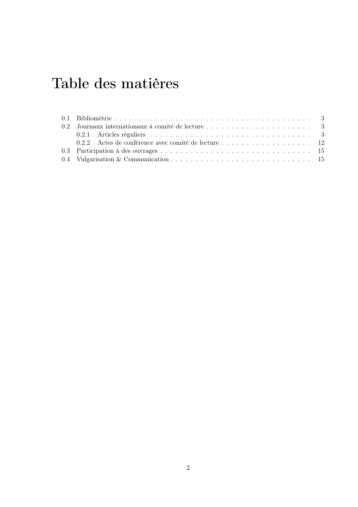## Table des matières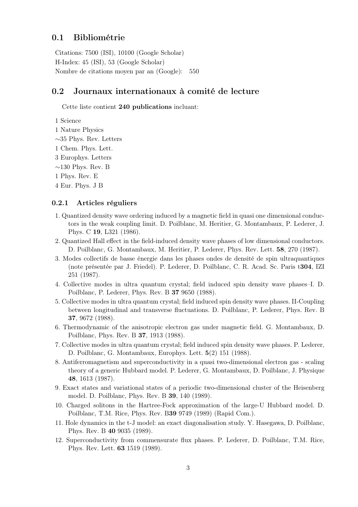## 0.1 Bibliométrie

Citations: 7500 (ISI), 10100 (Google Scholar) H-Index: 45 (ISI), 53 (Google Scholar) Nombre de citations moyen par an (Google): 550

### 0.2 Journaux internationaux à comité de lecture

Cette liste contient 240 publications incluant:

1 Science

- 1 Nature Physics
- ∼35 Phys. Rev. Letters
- 1 Chem. Phys. Lett.
- 3 Europhys. Letters
- $\sim$ 130 Phys. Rev. B

1 Phys. Rev. E

4 Eur. Phys. J B

#### 0.2.1 Articles réguliers

- 1. Quantized density wave ordering induced by a magnetic field in quasi one dimensional conductors in the weak coupling limit. D. Poilblanc, M. Heritier, G. Montambaux, P. Lederer, J. Phys. C 19, L321 (1986).
- 2. Quantized Hall effect in the field-induced density wave phases of low dimensional conductors. D. Poilblanc, G. Montambaux, M. Heritier, P. Lederer, Phys. Rev. Lett. 58, 270 (1987).
- 3. Modes collectifs de basse énergie dans les phases ondes de densité de spin ultraquantiques (note présentée par J. Friedel). P. Lederer, D. Poilblanc, C. R. Acad. Sc. Paris t304, IZI 251 (1987).
- 4. Collective modes in ultra quantum crystal; field induced spin density wave phases–I. D. Poilblanc, P. Lederer, Phys. Rev. B 37 9650 (1988).
- 5. Collective modes in ultra quantum crystal; field induced spin density wave phases. II-Coupling between longitudinal and transverse fluctuations. D. Poilblanc, P. Lederer, Phys. Rev. B 37, 9672 (1988).
- 6. Thermodynamic of the anisotropic electron gas under magnetic field. G. Montambaux, D. Poilblanc, Phys. Rev. B 37, 1913 (1988).
- 7. Collective modes in ultra quantum crystal; field induced spin density wave phases. P. Lederer, D. Poilblanc, G. Montambaux, Europhys. Lett. 5(2) 151 (1988).
- 8. Antiferromagnetism and superconductivity in a quasi two-dimensional electron gas scaling theory of a generic Hubbard model. P. Lederer, G. Montambaux, D. Poilblanc, J. Physique 48, 1613 (1987).
- 9. Exact states and variational states of a periodic two-dimensional cluster of the Heisenberg model. D. Poilblanc, Phys. Rev. B 39, 140 (1989).
- 10. Charged solitons in the Hartree-Fock approximation of the large-U Hubbard model. D. Poilblanc, T.M. Rice, Phys. Rev. B39 9749 (1989) (Rapid Com.).
- 11. Hole dynamics in the t-J model: an exact diagonalisation study. Y. Hasegawa, D. Poilblanc, Phys. Rev. B 40 9035 (1989).
- 12. Superconductivity from commensurate flux phases. P. Lederer, D. Poilblanc, T.M. Rice, Phys. Rev. Lett. 63 1519 (1989).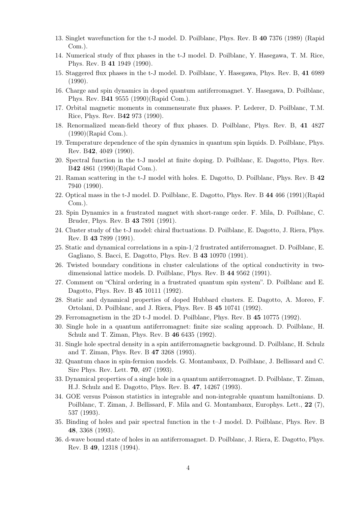- 13. Singlet wavefunction for the t-J model. D. Poilblanc, Phys. Rev. B 40 7376 (1989) (Rapid Com.).
- 14. Numerical study of flux phases in the t-J model. D. Poilblanc, Y. Hasegawa, T. M. Rice, Phys. Rev. B 41 1949 (1990).
- 15. Staggered flux phases in the t-J model. D. Poilblanc, Y. Hasegawa, Phys. Rev. B, 41 6989 (1990).
- 16. Charge and spin dynamics in doped quantum antiferromagnet. Y. Hasegawa, D. Poilblanc, Phys. Rev. B41 9555 (1990)(Rapid Com.).
- 17. Orbital magnetic moments in commensurate flux phases. P. Lederer, D. Poilblanc, T.M. Rice, Phys. Rev. B42 973 (1990).
- 18. Renormalized mean-field theory of flux phases. D. Poilblanc, Phys. Rev. B, 41 4827 (1990)(Rapid Com.).
- 19. Temperature dependence of the spin dynamics in quantum spin liquids. D. Poilblanc, Phys. Rev. B42, 4049 (1990).
- 20. Spectral function in the t-J model at finite doping. D. Poilblanc, E. Dagotto, Phys. Rev. B42 4861 (1990)(Rapid Com.).
- 21. Raman scattering in the t-J model with holes. E. Dagotto, D. Poilblanc, Phys. Rev. B 42 7940 (1990).
- 22. Optical mass in the t-J model. D. Poilblanc, E. Dagotto, Phys. Rev. B 44 466 (1991)(Rapid Com.).
- 23. Spin Dynamics in a frustrated magnet with short-range order. F. Mila, D. Poilblanc, C. Bruder, Phys. Rev. B 43 7891 (1991).
- 24. Cluster study of the t-J model: chiral fluctuations. D. Poilblanc, E. Dagotto, J. Riera, Phys. Rev. B 43 7899 (1991).
- 25. Static and dynamical correlations in a spin-1/2 frustrated antiferromagnet. D. Poilblanc, E. Gagliano, S. Bacci, E. Dagotto, Phys. Rev. B 43 10970 (1991).
- 26. Twisted boundary conditions in cluster calculations of the optical conductivity in twodimensional lattice models. D. Poilblanc, Phys. Rev. B 44 9562 (1991).
- 27. Comment on "Chiral ordering in a frustrated quantum spin system". D. Poilblanc and E. Dagotto, Phys. Rev. B 45 10111 (1992).
- 28. Static and dynamical properties of doped Hubbard clusters. E. Dagotto, A. Moreo, F. Ortolani, D. Poilblanc, and J. Riera, Phys. Rev. B 45 10741 (1992).
- 29. Ferromagnetism in the 2D t-J model. D. Poilblanc, Phys. Rev. B 45 10775 (1992).
- 30. Single hole in a quantum antiferromagnet: finite size scaling approach. D. Poilblanc, H. Schulz and T. Ziman, Phys. Rev. B 46 6435 (1992).
- 31. Single hole spectral density in a spin antiferromagnetic background. D. Poilblanc, H. Schulz and T. Ziman, Phys. Rev. B 47 3268 (1993).
- 32. Quantum chaos in spin-fermion models. G. Montambaux, D. Poilblanc, J. Bellissard and C. Sire Phys. Rev. Lett. 70, 497 (1993).
- 33. Dynamical properties of a single hole in a quantum antiferromagnet. D. Poilblanc, T. Ziman, H.J. Schulz and E. Dagotto, Phys. Rev. B. 47, 14267 (1993).
- 34. GOE versus Poisson statistics in integrable and non-integrable quantum hamiltonians. D. Poilblanc, T. Ziman, J. Bellissard, F. Mila and G. Montambaux, Europhys. Lett., 22 (7), 537 (1993).
- 35. Binding of holes and pair spectral function in the t–J model. D. Poilblanc, Phys. Rev. B 48, 3368 (1993).
- 36. d-wave bound state of holes in an antiferromagnet. D. Poilblanc, J. Riera, E. Dagotto, Phys. Rev. B 49, 12318 (1994).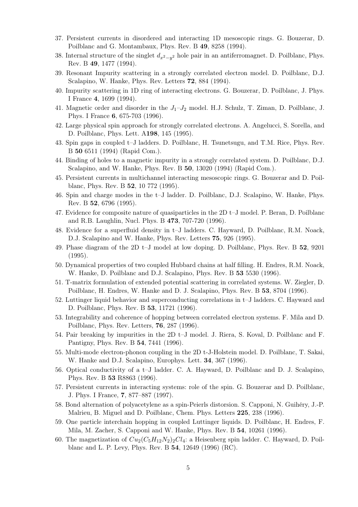- 37. Persistent currents in disordered and interacting 1D mesoscopic rings. G. Bouzerar, D. Poilblanc and G. Montambaux, Phys. Rev. B 49, 8258 (1994).
- 38. Internal structure of the singlet  $d_{x^2-y^2}$  hole pair in an antiferromagnet. D. Poilblanc, Phys. Rev. B 49, 1477 (1994).
- 39. Resonant Impurity scattering in a strongly correlated electron model. D. Poilblanc, D.J. Scalapino, W. Hanke, Phys. Rev. Letters 72, 884 (1994).
- 40. Impurity scattering in 1D ring of interacting electrons. G. Bouzerar, D. Poilblanc, J. Phys. I France 4, 1699 (1994).
- 41. Magnetic order and disorder in the  $J_1-J_2$  model. H.J. Schulz, T. Ziman, D. Poilblanc, J. Phys. I France 6, 675-703 (1996).
- 42. Large physical spin approach for strongly correlated electrons. A. Angelucci, S. Sorella, and D. Poilblanc, Phys. Lett. A198, 145 (1995).
- 43. Spin gaps in coupled t–J ladders. D. Poilblanc, H. Tsunetsugu, and T.M. Rice, Phys. Rev. B 50 6511 (1994) (Rapid Com.).
- 44. Binding of holes to a magnetic impurity in a strongly correlated system. D. Poilblanc, D.J. Scalapino, and W. Hanke, Phys. Rev. B 50, 13020 (1994) (Rapid Com.).
- 45. Persistent currents in multichannel interacting mesoscopic rings. G. Bouzerar and D. Poilblanc, Phys. Rev. B 52, 10 772 (1995).
- 46. Spin and charge modes in the t–J ladder. D. Poilblanc, D.J. Scalapino, W. Hanke, Phys. Rev. B 52, 6796 (1995).
- 47. Evidence for composite nature of quasiparticles in the 2D t–J model. P. Beran, D. Poilblanc and R.B. Laughlin, Nucl. Phys. B 473, 707-720 (1996).
- 48. Evidence for a superfluid density in t–J ladders. C. Hayward, D. Poilblanc, R.M. Noack, D.J. Scalapino and W. Hanke, Phys. Rev. Letters 75, 926 (1995).
- 49. Phase diagram of the 2D t–J model at low doping. D. Poilblanc, Phys. Rev. B 52, 9201 (1995).
- 50. Dynamical properties of two coupled Hubbard chains at half filling. H. Endres, R.M. Noack, W. Hanke, D. Poilblanc and D.J. Scalapino, Phys. Rev. B 53 5530 (1996).
- 51. T-matrix formulation of extended potential scattering in correlated systems. W. Ziegler, D. Poilblanc, H. Endres, W. Hanke and D. J. Scalapino, Phys. Rev. B 53, 8704 (1996).
- 52. Luttinger liquid behavior and superconducting correlations in t–J ladders. C. Hayward and D. Poilblanc, Phys. Rev. B 53, 11721 (1996).
- 53. Integrability and coherence of hopping between correlated electron systems. F. Mila and D. Poilblanc, Phys. Rev. Letters, 76, 287 (1996).
- 54. Pair breaking by impurities in the 2D t–J model. J. Riera, S. Koval, D. Poilblanc and F. Pantigny, Phys. Rev. B 54, 7441 (1996).
- 55. Multi-mode electron-phonon coupling in the 2D t-J-Holstein model. D. Poilblanc, T. Sakai, W. Hanke and D.J. Scalapino, Europhys. Lett. 34, 367 (1996).
- 56. Optical conductivity of a t–J ladder. C. A. Hayward, D. Poilblanc and D. J. Scalapino, Phys. Rev. B 53 R8863 (1996).
- 57. Persistent currents in interacting systems: role of the spin. G. Bouzerar and D. Poilblanc, J. Phys. I France, 7, 877–887 (1997).
- 58. Bond alternation of polyacetylene as a spin-Peierls distorsion. S. Capponi, N. Guihéry, J.-P. Malrieu, B. Miguel and D. Poilblanc, Chem. Phys. Letters 225, 238 (1996).
- 59. One particle interchain hopping in coupled Luttinger liquids. D. Poilblanc, H. Endres, F. Mila, M. Zacher, S. Capponi and W. Hanke, Phys. Rev. B 54, 10261 (1996).
- 60. The magnetization of  $Cu_2(C_5H_{12}N_2)_2Cl_4$ : a Heisenberg spin ladder. C. Hayward, D. Poilblanc and L. P. Levy, Phys. Rev. B 54, 12649 (1996) (RC).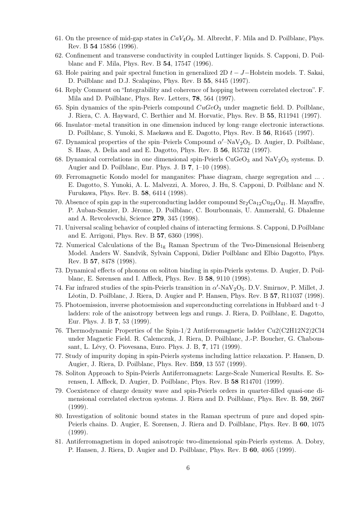- 61. On the presence of mid-gap states in  $CaV<sub>4</sub>O<sub>9</sub>$ . M. Albrecht, F. Mila and D. Poilblanc, Phys. Rev. B 54 15856 (1996).
- 62. Confinement and transverse conductivity in coupled Luttinger liquids. S. Capponi, D. Poilblanc and F. Mila, Phys. Rev. B 54, 17547 (1996).
- 63. Hole pairing and pair spectral function in generalized 2D  $t J$ –Holstein models. T. Sakai, D. Poilblanc and D.J. Scalapino, Phys. Rev. B 55, 8445 (1997).
- 64. Reply Comment on "Integrability and coherence of hopping between correlated electron". F. Mila and D. Poilblanc, Phys. Rev. Letters, 78, 564 (1997).
- 65. Spin dynamics of the spin-Peierls compound  $CuGeO<sub>3</sub>$  under magnetic field. D. Poilblanc, J. Riera, C. A. Hayward, C. Berthier and M. Horvatic, Phys. Rev. B 55, R11941 (1997).
- 66. Insulator–metal transition in one dimension induced by long–range electronic interactions. D. Poilblanc, S. Yunoki, S. Maekawa and E. Dagotto, Phys. Rev. B 56, R1645 (1997).
- 67. Dynamical properties of the spin–Peierls Compound  $\alpha'$ –NaV<sub>2</sub>O<sub>5</sub>. D. Augier, D. Poilblanc, S. Haas, A. Delia and and E. Dagotto, Phys. Rev. B 56, R5732 (1997).
- 68. Dynamical correlations in one dimensional spin-Peierls CuGeO<sub>3</sub> and NaV<sub>2</sub>O<sub>5</sub> systems. D. Augier and D. Poilblanc, Eur. Phys. J. B 7, 1–10 (1998).
- 69. Ferromagnetic Kondo model for manganites: Phase diagram, charge segregation and ... . E. Dagotto, S. Yunoki, A. L. Malvezzi, A. Moreo, J. Hu, S. Capponi, D. Poilblanc and N. Furukawa, Phys. Rev. B. 58, 6414 (1998).
- 70. Absence of spin gap in the superconducting ladder compound  $Sr_2Ca_{12}Cu_{24}O_{41}$ . H. Mayaffre, P. Auban-Senzier, D. Jérome, D. Poilblanc, C. Bourbonnais, U. Ammerahl, G. Dhalenne and A. Revcolevschi, Science 279, 345 (1998).
- 71. Universal scaling behavior of coupled chains of interacting fermions. S. Capponi, D.Poilblanc and E. Arrigoni, Phys. Rev. B 57, 6360 (1998).
- 72. Numerical Calculations of the  $B_{1g}$  Raman Spectrum of the Two-Dimensional Heisenberg Model. Anders W. Sandvik, Sylvain Capponi, Didier Poilblanc and Elbio Dagotto, Phys. Rev. B 57, 8478 (1998).
- 73. Dynamical effects of phonons on soliton binding in spin-Peierls systems. D. Augier, D. Poilblanc, E. Sørensen and I. Affleck, Phys. Rev. B 58, 9110 (1998).
- 74. Far infrared studies of the spin-Peierls transition in  $\alpha'$ -NaV<sub>2</sub>O<sub>5</sub>. D.V. Smirnov, P. Millet, J. Léotin, D. Poilblanc, J. Riera, D. Augier and P. Hansen, Phys. Rev. B 57, R11037 (1998).
- 75. Photoemission, inverse photoemission and superconducting correlations in Hubbard and t–J ladders: role of the anisotropy between legs and rungs. J. Riera, D. Poilblanc, E. Dagotto, Eur. Phys. J. B 7, 53 (1999).
- 76. Thermodynamic Properties of the Spin-1/2 Antiferromagnetic ladder Cu2(C2H12N2)2Cl4 under Magnetic Field. R. Calemczuk, J. Riera, D. Poilblanc, J.-P. Boucher, G. Chaboussant, L. Lévy, O. Piovesana, Euro. Phys. J. B, 7, 171 (1999).
- 77. Study of impurity doping in spin-Peierls systems including lattice relaxation. P. Hansen, D. Augier, J. Riera, D. Poilblanc, Phys. Rev. B59, 13 557 (1999).
- 78. Soliton Approach to Spin-Peierls Antiferromagnets: Large-Scale Numerical Results. E. Sorensen, I. Affleck, D. Augier, D. Poilblanc, Phys. Rev. B 58 R14701 (1999).
- 79. Coexistence of charge density wave and spin-Peierls orders in quarter-filled quasi-one dimensional correlated electron systems. J. Riera and D. Poilblanc, Phys. Rev. B. 59, 2667 (1999).
- 80. Investigation of solitonic bound states in the Raman spectrum of pure and doped spin-Peierls chains. D. Augier, E. Sorensen, J. Riera and D. Poilblanc, Phys. Rev. B 60, 1075 (1999).
- 81. Antiferromagnetism in doped anisotropic two-dimensional spin-Peierls systems. A. Dobry, P. Hansen, J. Riera, D. Augier and D. Poilblanc, Phys. Rev. B 60, 4065 (1999).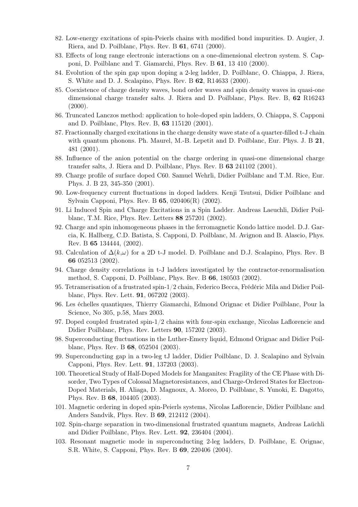- 82. Low-energy excitations of spin-Peierls chains with modified bond impurities. D. Augier, J. Riera, and D. Poilblanc, Phys. Rev. B 61, 6741 (2000).
- 83. Effects of long range electronic interactions on a one-dimensional electron system. S. Capponi, D. Poilblanc and T. Giamarchi, Phys. Rev. B 61, 13 410 (2000).
- 84. Evolution of the spin gap upon doping a 2-leg ladder, D. Poilblanc, O. Chiappa, J. Riera, S. White and D. J. Scalapino, Phys. Rev. B 62, R14633 (2000).
- 85. Coexistence of charge density waves, bond order waves and spin density waves in quasi-one dimensional charge transfer salts. J. Riera and D. Poilblanc, Phys. Rev. B, 62 R16243  $(2000).$
- 86. Truncated Lanczos method: application to hole-doped spin ladders, O. Chiappa, S. Capponi and D. Poilblanc, Phys. Rev. B, 63 115120 (2001).
- 87. Fractionnally charged excitations in the charge density wave state of a quarter-filled t-J chain with quantum phonons. Ph. Maurel, M.-B. Lepetit and D. Poilblanc, Eur. Phys. J. B 21, 481 (2001).
- 88. Influence of the anion potential on the charge ordering in quasi-one dimensional charge transfer salts, J. Riera and D. Poilblanc, Phys. Rev. B 63 241102 (2001).
- 89. Charge profile of surface doped C60. Samuel Wehrli, Didier Poilblanc and T.M. Rice, Eur. Phys. J. B 23, 345-350 (2001).
- 90. Low-frequency current fluctuations in doped ladders. Kenji Tsutsui, Didier Poilblanc and Sylvain Capponi, Phys. Rev. B 65, 020406(R) (2002).
- 91. Li Induced Spin and Charge Excitations in a Spin Ladder. Andreas Laeuchli, Didier Poilblanc, T.M. Rice, Phys. Rev. Letters 88 257201 (2002).
- 92. Charge and spin inhomogeneous phases in the ferromagnetic Kondo lattice model. D.J. Garcia, K. Hallberg, C.D. Batista, S. Capponi, D. Poilblanc, M. Avignon and B. Alascio, Phys. Rev. B 65 134444, (2002).
- 93. Calculation of  $\Delta(k,\omega)$  for a 2D t-J model. D. Poilblanc and D.J. Scalapino, Phys. Rev. B 66 052513 (2002).
- 94. Charge density correlations in t-J ladders investigated by the contractor-renormalisation method, S. Capponi, D. Poilblanc, Phys. Rev. B 66, 180503 (2002).
- 95. Tetramerisation of a frustrated spin-1/2 chain, Federico Becca, Frédéric Mila and Didier Poilblanc, Phys. Rev. Lett. 91, 067202 (2003).
- 96. Les échelles quantiques, Thierry Giamarchi, Edmond Orignac et Didier Poilblanc, Pour la Science, No 305, p.58, Mars 2003.
- 97. Doped coupled frustrated spin-1/2 chains with four-spin exchange, Nicolas Laflorencie and Didier Poilblanc, Phys. Rev. Letters 90, 157202 (2003).
- 98. Superconducting fluctuations in the Luther-Emery liquid, Edmond Orignac and Didier Poilblanc, Phys. Rev. B 68, 052504 (2003).
- 99. Superconducting gap in a two-leg tJ ladder, Didier Poilblanc, D. J. Scalapino and Sylvain Capponi, Phys. Rev. Lett. 91, 137203 (2003).
- 100. Theoretical Study of Half-Doped Models for Manganites: Fragility of the CE Phase with Disorder, Two Types of Colossal Magnetoresistances, and Charge-Ordered States for Electron-Doped Materials, H. Aliaga, D. Magnoux, A. Moreo, D. Poilblanc, S. Yunoki, E. Dagotto, Phys. Rev. B 68, 104405 (2003).
- 101. Magnetic ordering in doped spin-Peierls systems, Nicolas Laflorencie, Didier Poilblanc and Anders Sandvik, Phys. Rev. B 69, 212412 (2004).
- 102. Spin-charge separation in two-dimensional frustrated quantum magnets, Andreas Laüchli and Didier Poilblanc, Phys. Rev. Lett. 92, 236404 (2004).
- 103. Resonant magnetic mode in superconducting 2-leg ladders, D. Poilblanc, E. Orignac, S.R. White, S. Capponi, Phys. Rev. B 69, 220406 (2004).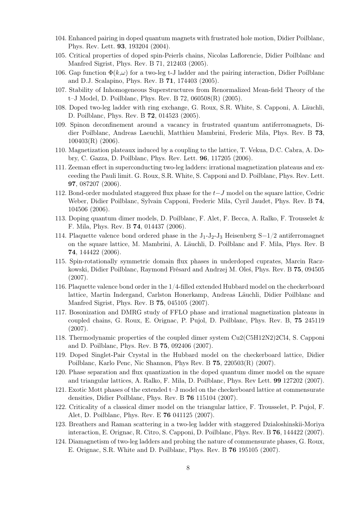- 104. Enhanced pairing in doped quantum magnets with frustrated hole motion, Didier Poilblanc, Phys. Rev. Lett. 93, 193204 (2004).
- 105. Critical properties of doped spin-Peierls chains, Nicolas Laflorencie, Didier Poilblanc and Manfred Sigrist, Phys. Rev. B 71, 212403 (2005).
- 106. Gap function  $\Phi(k,\omega)$  for a two-leg t-J ladder and the pairing interaction, Didier Poilblanc and D.J. Scalapino, Phys. Rev. B 71, 174403 (2005).
- 107. Stability of Inhomogeneous Superstructures from Renormalized Mean-field Theory of the t–J Model, D. Poilblanc, Phys. Rev. B 72, 060508(R) (2005).
- 108. Doped two-leg ladder with ring exchange, G. Roux, S.R. White, S. Capponi, A. Läuchli, D. Poilblanc, Phys. Rev. B 72, 014523 (2005).
- 109. Spinon deconfinement around a vacancy in frustrated quantum antiferromagnets, Didier Poilblanc, Andreas Laeuchli, Matthieu Mambrini, Frederic Mila, Phys. Rev. B 73, 100403(R) (2006).
- 110. Magnetization plateaux induced by a coupling to the lattice, T. Vekua, D.C. Cabra, A. Dobry, C. Gazza, D. Poilblanc, Phys. Rev. Lett. 96, 117205 (2006).
- 111. Zeeman effect in superconducting two-leg ladders: irrational magnetization plateaus and exceeding the Pauli limit. G. Roux, S.R. White, S. Capponi and D. Poilblanc, Phys. Rev. Lett. 97, 087207 (2006).
- 112. Bond-order modulated staggered flux phase for the t−J model on the square lattice, Cedric Weber, Didier Poilblanc, Sylvain Capponi, Frederic Mila, Cyril Jaudet, Phys. Rev. B 74, 104506 (2006).
- 113. Doping quantum dimer models, D. Poilblanc, F. Alet, F. Becca, A. Ralko, F. Trousselet & F. Mila, Phys. Rev. B 74, 014437 (2006).
- 114. Plaquette valence bond ordered phase in the  $J_1-J_2-J_3$  Heisenberg  $S=1/2$  antiferromagnet on the square lattice, M. Mambrini, A. Läuchli, D. Poilblanc and F. Mila, Phys. Rev. B 74, 144422 (2006).
- 115. Spin-rotationally symmetric domain flux phases in underdoped cuprates, Marcin Raczkowski, Didier Poilblanc, Raymond Frésard and Andrzej M. Oleś, Phys. Rev. B 75, 094505 (2007).
- 116. Plaquette valence bond order in the 1/4-filled extended Hubbard model on the checkerboard lattice, Martin Indergand, Carlston Honerkamp, Andreas Läuchli, Didier Poilblanc and Manfred Sigrist, Phys. Rev. B 75, 045105 (2007).
- 117. Bosonization and DMRG study of FFLO phase and irrational magnetization plateaus in coupled chains, G. Roux, E. Orignac, P. Pujol, D. Poilblanc, Phys. Rev. B, 75 245119 (2007).
- 118. Thermodynamic properties of the coupled dimer system Cu2(C5H12N2)2Cl4, S. Capponi and D. Poilblanc, Phys. Rev. B 75, 092406 (2007).
- 119. Doped Singlet-Pair Crystal in the Hubbard model on the checkerboard lattice, Didier Poilblanc, Karlo Penc, Nic Shannon, Phys Rev. B 75, 220503(R) (2007).
- 120. Phase separation and flux quantization in the doped quantum dimer model on the square and triangular lattices, A. Ralko, F. Mila, D. Poilblanc, Phys. Rev Lett. 99 127202 (2007).
- 121. Exotic Mott phases of the extended t–J model on the checkerboard lattice at commensurate densities, Didier Poilblanc, Phys. Rev. B 76 115104 (2007).
- 122. Criticality of a classical dimer model on the triangular lattice, F. Trousselet, P. Pujol, F. Alet, D. Poilblanc, Phys. Rev. E 76 041125 (2007).
- 123. Breathers and Raman scattering in a two-leg ladder with staggered Dzialoshinskii-Moriya interaction, E. Orignac, R. Citro, S. Capponi, D. Poilblanc, Phys. Rev. B 76, 144422 (2007).
- 124. Diamagnetism of two-leg ladders and probing the nature of commensurate phases, G. Roux, E. Orignac, S.R. White and D. Poilblanc, Phys. Rev. B 76 195105 (2007).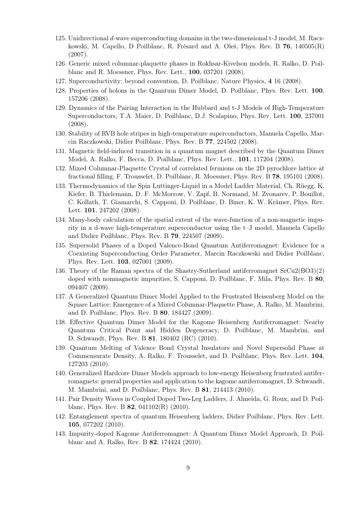- 125. Unidirectional d-wave superconducting domains in the two-dimensional t-J model, M. Raczkowski, M. Capello, D Poilblanc, R. Frésard and A. Oleś, Phys. Rev. B 76, 140505(R) (2007).
- 126. Generic mixed columnar-plaquette phases in Rokhsar-Kivelson models, R. Ralko, D. Poilblanc and R. Moessner, Phys. Rev. Lett., 100, 037201 (2008).
- 127. Superconductivity: beyond convention, D. Poilblanc, Nature Physics, 4 16 (2008).
- 128. Properties of holons in the Quantum Dimer Model, D. Poilblanc, Phys. Rev. Lett. 100, 157206 (2008).
- 129. Dynamics of the Pairing Interaction in the Hubbard and t-J Models of High-Temperature Superconductors, T.A. Maier, D. Poilblanc, D.J. Scalapino, Phys. Rev. Lett. 100, 237001 (2008).
- 130. Stability of RVB hole stripes in high-temperature superconductors, Manuela Capello, Marcin Raczkowski, Didier Poilblanc, Phys. Rev. B 77, 224502 (2008).
- 131. Magnetic field-induced transition in a quantum magnet described by the Quantum Dimer Model, A. Ralko, F. Becca, D. Poilblanc, Phys. Rev. Lett., 101, 117204 (2008).
- 132. Mixed Columnar-Plaquette Crystal of correlated fermions on the 2D pyrochlore lattice at fractional filling, F. Trousselet, D. Poilblanc, R. Moessner, Phys. Rev. B 78, 195101 (2008).
- 133. Thermodynamics of the Spin Luttinger-Liquid in a Model Ladder Material, Ch. Rüegg, K. Kiefer, B. Thielemann, D. F. McMorrow, V. Zapf, B. Normand, M. Zvonarev, P. Bouillot, C. Kollath, T. Giamarchi, S. Capponi, D. Poilblanc, D. Biner, K. W. Krämer, Phys. Rev. Lett. **101**, 247202 (2008).
- 134. Many-body calculation of the spatial extent of the wave-function of a non-magnetic impurity in a d-wave high-temperature superconductor using the t–J model, Manuela Capello and Didier Poilblanc, Phys. Rev. B 79, 224507 (2009).
- 135. Supersolid Phases of a Doped Valence-Bond Quantum Antiferromagnet: Evidence for a Coexisting Superconducting Order Parameter, Marcin Raczkowski and Didier Poilblanc, Phys. Rev. Lett. 103, 027001 (2009).
- 136. Theory of the Raman spectra of the Shastry-Sutherland antiferromagnet SrCu2(BO3)(2) doped with nonmagnetic impurities, S. Capponi, D. Poilblanc, F. Mila, Phys. Rev. B 80, 094407 (2009).
- 137. A Generalized Quantum Dimer Model Applied to the Frustrated Heisenberg Model on the Square Lattice: Emergence of a Mixed Columnar-Plaquette Phase, A. Ralko, M. Mambrini, and D. Poilblanc, Phys. Rev. B 80, 184427 (2009).
- 138. Effective Quantum Dimer Model for the Kagome Heisenberg Antiferromagnet: Nearby Quantum Critical Point and Hidden Degeneracy, D. Poilblanc, M. Mambrini, and D. Schwandt, Phys. Rev. B 81, 180402 (RC) (2010).
- 139. Quantum Melting of Valence Bond Crystal Insulators and Novel Supersolid Phase at Commensurate Density, A. Ralko, F. Trousselet, and D. Poilblanc, Phys. Rev. Lett. 104, 127203 (2010).
- 140. Generalized Hardcore Dimer Models approach to low-energy Heisenberg frustrated antiferromagnets: general properties and application to the kagome antiferromagnet, D. Schwandt, M. Mambrini, and D. Poilblanc, Phys. Rev. B 81, 214413 (2010).
- 141. Pair Density Waves in Coupled Doped Two-Leg Ladders, J. Almeida, G. Roux, and D. Poilblanc, Phys. Rev. B 82, 041102(R) (2010).
- 142. Entanglement spectra of quantum Heisenberg ladders, Didier Poilblanc, Phys. Rev. Lett. 105, 077202 (2010).
- 143. Impurity-doped Kagome Antiferromagnet: A Quantum Dimer Model Approach, D. Poilblanc and A. Ralko, Rev. B 82, 174424 (2010).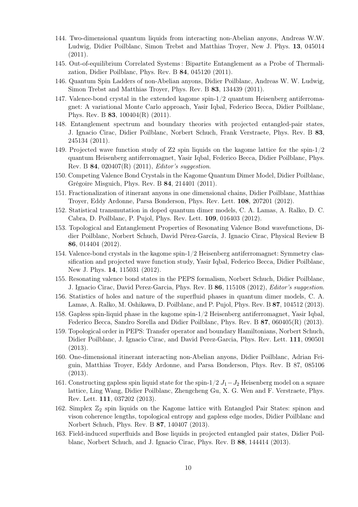- 144. Two-dimensional quantum liquids from interacting non-Abelian anyons, Andreas W.W. Ludwig, Didier Poilblanc, Simon Trebst and Matthias Troyer, New J. Phys. 13, 045014  $(2011).$
- 145. Out-of-equilibrium Correlated Systems : Bipartite Entanglement as a Probe of Thermalization, Didier Poilblanc, Phys. Rev. B 84, 045120 (2011).
- 146. Quantum Spin Ladders of non-Abelian anyons, Didier Poilblanc, Andreas W. W. Ludwig, Simon Trebst and Matthias Troyer, Phys. Rev. B 83, 134439 (2011).
- 147. Valence-bond crystal in the extended kagome spin-1/2 quantum Heisenberg antiferromagnet: A variational Monte Carlo approach, Yasir Iqbal, Federico Becca, Didier Poilblanc, Phys. Rev. B 83, 100404(R) (2011).
- 148. Entanglement spectrum and boundary theories with projected entangled-pair states, J. Ignacio Cirac, Didier Poilblanc, Norbert Schuch, Frank Verstraete, Phys. Rev. B 83, 245134 (2011).
- 149. Projected wave function study of Z2 spin liquids on the kagome lattice for the spin-1/2 quantum Heisenberg antiferromagnet, Yasir Iqbal, Federico Becca, Didier Poilblanc, Phys. Rev. B 84, 020407(R) (2011), Editor's suggestion.
- 150. Competing Valence Bond Crystals in the Kagome Quantum Dimer Model, Didier Poilblanc, Grégoire Misguich, Phys. Rev. B 84, 214401 (2011).
- 151. Fractionalization of itinerant anyons in one dimensional chains, Didier Poilblanc, Matthias Troyer, Eddy Ardonne, Parsa Bonderson, Phys. Rev. Lett. 108, 207201 (2012).
- 152. Statistical transmutation in doped quantum dimer models, C. A. Lamas, A. Ralko, D. C. Cabra, D. Poilblanc, P. Pujol, Phys. Rev. Lett. 109, 016403 (2012).
- 153. Topological and Entanglement Properties of Resonating Valence Bond wavefunctions, Didier Poilblanc, Norbert Schuch, David Pérez-García, J. Ignacio Cirac, Physical Review B 86, 014404 (2012).
- 154. Valence-bond crystals in the kagome spin-1/2 Heisenberg antiferromagnet: Symmetry classification and projected wave function study, Yasir Iqbal, Federico Becca, Didier Poilblanc, New J. Phys. 14, 115031 (2012).
- 155. Resonating valence bond states in the PEPS formalism, Norbert Schuch, Didier Poilblanc, J. Ignacio Cirac, David Perez-Garcia, Phys. Rev. B 86, 115108 (2012), Editor's suggestion.
- 156. Statistics of holes and nature of the superfluid phases in quantum dimer models, C. A. Lamas, A. Ralko, M. Oshikawa, D. Poilblanc, and P. Pujol, Phys. Rev. B 87, 104512 (2013).
- 158. Gapless spin-liquid phase in the kagome spin-1/2 Heisenberg antiferromagnet, Yasir Iqbal, Federico Becca, Sandro Sorella and Didier Poilblanc, Phys. Rev. B 87, 060405(R) (2013).
- 159. Topological order in PEPS: Transfer operator and boundary Hamiltonians, Norbert Schuch, Didier Poilblanc, J. Ignacio Cirac, and David Perez-Garcia, Phys. Rev. Lett. 111, 090501 (2013).
- 160. One-dimensional itinerant interacting non-Abelian anyons, Didier Poilblanc, Adrian Feiguin, Matthias Troyer, Eddy Ardonne, and Parsa Bonderson, Phys. Rev. B 87, 085106 (2013).
- 161. Constructing gapless spin liquid state for the spin-1/2  $J_1-J_2$  Heisenberg model on a square lattice, Ling Wang, Didier Poilblanc, Zhengcheng Gu, X. G. Wen and F. Verstraete, Phys. Rev. Lett. 111, 037202 (2013).
- 162. Simplex  $\mathbb{Z}_2$  spin liquids on the Kagome lattice with Entangled Pair States: spinon and vison coherence lengths, topological entropy and gapless edge modes, Didier Poilblanc and Norbert Schuch, Phys. Rev. B 87, 140407 (2013).
- 163. Field-induced superfluids and Bose liquids in projected entangled pair states, Didier Poilblanc, Norbert Schuch, and J. Ignacio Cirac, Phys. Rev. B 88, 144414 (2013).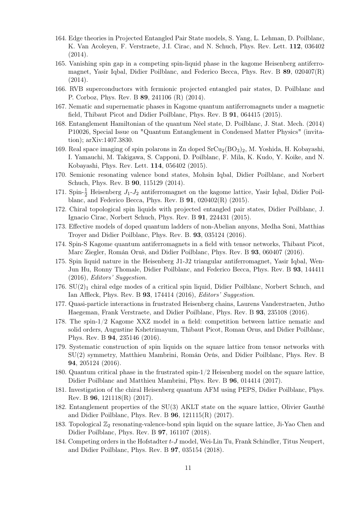- 164. Edge theories in Projected Entangled Pair State models, S. Yang, L. Lehman, D. Poilblanc, K. Van Acoleyen, F. Verstraete, J.I. Cirac, and N. Schuch, Phys. Rev. Lett. 112, 036402 (2014).
- 165. Vanishing spin gap in a competing spin-liquid phase in the kagome Heisenberg antiferromagnet, Yasir Iqbal, Didier Poilblanc, and Federico Becca, Phys. Rev. B 89, 020407(R) (2014).
- 166. RVB superconductors with fermionic projected entangled pair states, D. Poilblanc and P. Corboz, Phys. Rev. B 89, 241106 (R) (2014).
- 167. Nematic and supernematic phases in Kagome quantum antiferromagnets under a magnetic field, Thibaut Picot and Didier Poilblanc, Phys. Rev. B 91, 064415 (2015).
- 168. Entanglement Hamiltonian of the quantum Néel state, D. Poilblanc, J. Stat. Mech. (2014) P10026, Special Issue on "Quantum Entanglement in Condensed Matter Physics" (invitation); arXiv:1407.3830.
- 169. Real space imaging of spin polarons in Zn doped  $SrCu<sub>2</sub>(BO<sub>3</sub>)<sub>2</sub>$ , M. Yoshida, H. Kobayashi, I. Yamauchi, M. Takigawa, S. Capponi, D. Poilblanc, F. Mila, K. Kudo, Y. Koike, and N. Kobayashi, Phys. Rev. Lett. 114, 056402 (2015).
- 170. Semionic resonating valence bond states, Mohsin Iqbal, Didier Poilblanc, and Norbert Schuch, Phys. Rev. B 90, 115129 (2014).
- 171. Spin- $\frac{1}{2}$  Heisenberg  $J_1$ - $J_2$  antiferromagnet on the kagome lattice, Yasir Iqbal, Didier Poilblanc, and Federico Becca, Phys. Rev. B 91, 020402(R) (2015).
- 172. Chiral topological spin liquids with projected entangled pair states, Didier Poilblanc, J. Ignacio Cirac, Norbert Schuch, Phys. Rev. B 91, 224431 (2015).
- 173. Effective models of doped quantum ladders of non-Abelian anyons, Medha Soni, Matthias Troyer and Didier Poilblanc, Phys. Rev. B. 93, 035124 (2016).
- 174. Spin-S Kagome quantum antiferromagnets in a field with tensor networks, Thibaut Picot, Marc Ziegler, Román Orus, and Didier Poilblanc, Phys. Rev. B 93, 060407 (2016).
- 175. Spin liquid nature in the Heisenberg J1-J2 triangular antiferromagnet, Yasir Iqbal, Wen-Jun Hu, Ronny Thomale, Didier Poilblanc, and Federico Becca, Phys. Rev. B 93, 144411 (2016), Editors' Suggestion.
- $176. SU(2)<sub>1</sub>$  chiral edge modes of a critical spin liquid, Didier Poilblanc, Norbert Schuch, and Ian Affleck, Phys. Rev. B 93, 174414 (2016), Editors' Suggestion.
- 177. Quasi-particle interactions in frustrated Heisenberg chains, Laurens Vanderstraeten, Jutho Haegeman, Frank Verstraete, and Didier Poilblanc, Phys. Rev. B 93, 235108 (2016).
- 178. The spin-1/2 Kagome XXZ model in a field: competition between lattice nematic and solid orders, Augustine Kshetrimayum, Thibaut Picot, Roman Orus, and Didier Poilblanc, Phys. Rev. B 94, 235146 (2016).
- 179. Systematic construction of spin liquids on the square lattice from tensor networks with SU(2) symmetry, Matthieu Mambrini, Román Orús, and Didier Poilblanc, Phys. Rev. B 94, 205124 (2016).
- 180. Quantum critical phase in the frustrated spin-1/2 Heisenberg model on the square lattice, Didier Poilblanc and Matthieu Mambrini, Phys. Rev. B **96**, 014414 (2017).
- 181. Investigation of the chiral Heisenberg quantum AFM using PEPS, Didier Poilblanc, Phys. Rev. B 96, 121118(R) (2017).
- 182. Entanglement properties of the SU(3) AKLT state on the square lattice, Olivier Gauthé and Didier Poilblanc, Phys. Rev. B 96, 121115(R) (2017).
- 183. Topological  $\mathbb{Z}_2$  resonating-valence-bond spin liquid on the square lattice, Ji-Yao Chen and Didier Poilblanc, Phys. Rev. B 97, 161107 (2018).
- 184. Competing orders in the Hofstadter t-J model, Wei-Lin Tu, Frank Schindler, Titus Neupert, and Didier Poilblanc, Phys. Rev. B 97, 035154 (2018).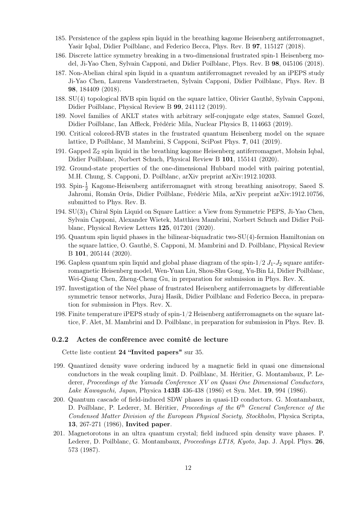- 185. Persistence of the gapless spin liquid in the breathing kagome Heisenberg antiferromagnet, Yasir Iqbal, Didier Poilblanc, and Federico Becca, Phys. Rev. B 97, 115127 (2018).
- 186. Discrete lattice symmetry breaking in a two-dimensional frustrated spin-1 Heisenberg model, Ji-Yao Chen, Sylvain Capponi, and Didier Poilblanc, Phys. Rev. B 98, 045106 (2018).
- 187. Non-Abelian chiral spin liquid in a quantum antiferromagnet revealed by an iPEPS study Ji-Yao Chen, Laurens Vanderstraeten, Sylvain Capponi, Didier Poilblanc, Phys. Rev. B 98, 184409 (2018).
- 188. SU(4) topological RVB spin liquid on the square lattice, Olivier Gauthé, Sylvain Capponi, Didier Poilblanc, Physical Review B 99, 241112 (2019).
- 189. Novel families of AKLT states with arbitrary self-conjugate edge states, Samuel Gozel, Didier Poilblanc, Ian Affleck, Frédéric Mila, Nuclear Physics B, 114663 (2019).
- 190. Critical colored-RVB states in the frustrated quantum Heisenberg model on the square lattice, D Poilblanc, M Mambrini, S Capponi, SciPost Phys. 7, 041 (2019).
- 191. Gapped  $\mathbb{Z}_2$  spin liquid in the breathing kagome Heisenberg antiferromagnet, Mohsin Iqbal, Didier Poilblanc, Norbert Schuch, Physical Review B 101, 155141 (2020).
- 192. Ground-state properties of the one-dimensional Hubbard model with pairing potential, M.H. Chung, S. Capponi, D. Poilblanc, arXiv preprint arXiv:1912.10203.
- 193. Spin- $\frac{1}{2}$  Kagome-Heisenberg antiferromagnet with strong breathing anisotropy, Saeed S. Jahromi, Román Orús, Didier Poilblanc, Frédéric Mila, arXiv preprint arXiv:1912.10756, submitted to Phys. Rev. B.
- 194.  $SU(3)_1$  Chiral Spin Liquid on Square Lattice: a View from Symmetric PEPS, Ji-Yao Chen, Sylvain Capponi, Alexander Wietek, Matthieu Mambrini, Norbert Schuch and Didier Poilblanc, Physical Review Letters 125, 017201 (2020).
- 195. Quantum spin liquid phases in the bilinear-biquadratic two-SU(4)-fermion Hamiltonian on the square lattice, O. Gauthé, S. Capponi, M. Mambrini and D. Poilblanc, Physical Review B 101, 205144 (2020).
- 196. Gapless quantum spin liquid and global phase diagram of the spin- $1/2$   $J_1-J_2$  square antiferromagnetic Heisenberg model, Wen-Yuan Liu, Shou-Shu Gong, Yu-Bin Li, Didier Poilblanc, Wei-Qiang Chen, Zheng-Cheng Gu, in preparation for submission in Phys. Rev. X.
- 197. Investigation of the Néel phase of frustrated Heisenberg antiferromagnets by differentiable symmetric tensor networks, Juraj Hasik, Didier Poilblanc and Federico Becca, in preparation for submission in Phys. Rev. X.
- 198. Finite temperature iPEPS study of spin-1/2 Heisenberg antiferromagnets on the square lattice, F. Alet, M. Mambrini and D. Poilblanc, in preparation for submission in Phys. Rev. B.

#### 0.2.2 Actes de conférence avec comité de lecture

Cette liste contient 24 "Invited papers" sur 35.

- 199. Quantized density wave ordering induced by a magnetic field in quasi one dimensional conductors in the weak coupling limit. D. Poilblanc, M. Héritier, G. Montambaux, P. Lederer, Proceedings of the Yamada Conference XV on Quasi One Dimensional Conductors, Lake Kawaguchi, Japan, Physica 143B 436-438 (1986) et Syn. Met. 19, 994 (1986).
- 200. Quantum cascade of field-induced SDW phases in quasi-1D conductors. G. Montambaux, D. Poilblanc, P. Lederer, M. Héritier, Proceedings of the  $6<sup>th</sup>$  General Conference of the Condensed Matter Division of the European Physical Society, Stockholm, Physica Scripta, 13, 267-271 (1986), Invited paper.
- 201. Magnetorotons in an ultra quantum crystal; field induced spin density wave phases. P. Lederer, D. Poilblanc, G. Montambaux, *Proceedings LT18, Kyoto*, Jap. J. Appl. Phys. 26, 573 (1987).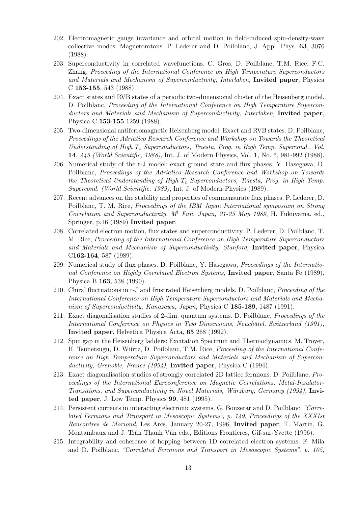- 202. Electromagnetic gauge invariance and orbital motion in field-induced spin-density-wave collective modes: Magnetorotons. P. Lederer and D. Poilblanc, J. Appl. Phys. 63, 3076 (1988).
- 203. Superconductivity in correlated wavefunctions. C. Gros, D. Poilblanc, T.M. Rice, F.C. Zhang, Proceeding of the International Conference on High Temperature Superconductors and Materials and Mechanism of Superconductivity, Interlaken, Invited paper, Physica C 153-155, 543 (1988).
- 204. Exact states and RVB states of a periodic two-dimensional cluster of the Heisenberg model. D. Poilblanc, *Proceeding of the International Conference on High Temperature Supercon*ductors and Materials and Mechanism of Superconductivity, Interlaken, Invited paper, Physica C 153-155 1259 (1988).
- 205. Two-dimensional antiferromagnetic Heisenberg model: Exact and RVB states. D. Poilblanc, Proceedings of the Adriatico Research Conference and Workshop on Towards the Theoretical Understanding of High  $T_c$  Superconductors, Triesta, Prog. in High Temp. Supercond., Vol. 14, 445 (World Scientific, 1988), Int. J. of Modern Physics, Vol. 1, No. 5, 981-992 (1988).
- 206. Numerical study of the t-J model: exact ground state and flux phases. Y. Hasegawa, D. Poilblanc, Proceedings of the Adriatico Research Conference and Workshop on Towards the Theoretical Understanding of High  $T_c$  Superconductors, Triesta, Prog. in High Temp. Supercond. (World Scientific, 1989), Int. J. of Modern Physics (1989).
- 207. Recent advances on the stability and properties of commensurate flux phases. P. Lederer, D. Poilblanc, T. M. Rice, Proceedings of the IBM Japan International symposium on Strong Correlation and Superconductivity,  $M<sup>t</sup>$  Fuji, Japan, 21-25 May 1989, H. Fukuyama, ed., Springer, p.16 (1989) Invited paper.
- 208. Correlated electron motion, flux states and superconductivity. P. Lederer, D. Poilblanc, T. M. Rice, Proceeding of the International Conference on High Temperature Superconductors and Materials and Mechanism of Superconductivity, Stanford, Invited paper, Physica C162-164, 587 (1989).
- 209. Numerical study of flux phases. D. Poilblanc, Y. Hasegawa, Proceedings of the International Conference on Highly Correlated Electron Systems, Invited paper, Santa Fe (1989), Physica B 163, 538 (1990).
- 210. Chiral fluctuations in t-J and frustrated Heisenberg models. D. Poilblanc, Proceeding of the International Conference on High Temperature Superconductors and Materials and Mechanism of Superconductivity, Kanazawa, Japan, Physica C 185-189, 1487 (1991).
- 211. Exact diagonalisation studies of 2-dim. quantum systems. D. Poilblanc, Proceedings of the International Conference on Physics in Two Dimensions, Neuchâtel, Switzerland (1991), Invited paper, Helvetica Physica Acta, 65 268 (1992).
- 212. Spin gap in the Heisenberg ladders: Excitation Spectrum and Thermodynamics. M. Troyer, H. Tsunetsugu, D. Würtz, D. Poilblanc, T.M. Rice, Proceeding of the International Conference on High Temperature Superconductors and Materials and Mechanism of Superconductivity, Grenoble, France (1994), Invited paper, Physica C (1994).
- 213. Exact diagonalisation studies of strongly correlated 2D lattice fermions. D. Poilblanc, Proceedings of the International Euroconference on Magnetic Correlations, Metal-Insulator-Transitions, and Superconductivity in Novel Materials, Würzburg, Germany (1994), Invited paper, J. Low Temp. Physics 99, 481 (1995).
- 214. Persistent currents in interacting electronic systems. G. Bouzerar and D. Poilblanc, "Correlated Fermions and Transport in Mesoscopic Systems", p. 149, Proceedings of the XXXIst Rencontres de Moriond, Les Arcs, January 20-27, 1996, Invited paper, T. Martin, G. Montambaux and J. Trân Thanh Vân eds., Editions Frontieres, Gif-sur-Yvette (1996).
- 215. Integrability and coherence of hopping between 1D correlated electron systems. F. Mila and D. Poilblanc, "Correlated Fermions and Transport in Mesoscopic Systems", p. 105,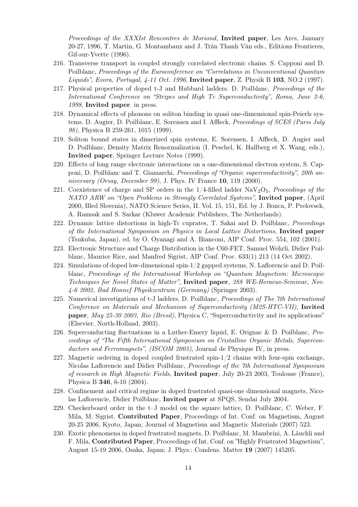Proceedings of the XXXIst Rencontres de Moriond, Invited paper, Les Arcs, January 20-27, 1996, T. Martin, G. Montambaux and J. Trân Thanh Vân eds., Editions Frontieres, Gif-sur-Yvette (1996).

- 216. Transverse transport in coupled strongly correlated electronic chains. S. Capponi and D. Poilblanc, Proceedings of the Euroconference on "Correlations in Unconventional Quantum Liquids", Evora, Portugal, 4-11 Oct. 1996, Invited paper, Z. Physik B 103, NO.2 (1997).
- 217. Physical properties of doped t-J and Hubbard ladders. D. Poilblanc, Proceedings of the International Conference on "Stripes and High Tc Superconductivity", Roma, June 2-6, 1998, Invited paper. in press.
- 218. Dynamical effects of phonons on soliton binding in quasi one-dimensional spin-Peierls systems. D. Augier, D. Poilblanc, E. Sorensen and I. Affleck, Proceedings of SCES (Paris July 98), Physica B 259-261, 1015 (1999).
- 219. Soliton bound states in dimerized spin systems, E. Sorensen, I. Affleck, D. Augier and D. Poilblanc, Density Matrix Renormalization (I. Peschel, K. Hallberg et X. Wang, eds.), Invited paper, Springer Lecture Notes (1999).
- 220. Effects of long range electronic interactions on a one-dimensional electron system, S. Capponi, D. Poilblanc and T. Giamarchi, Proceedings of "Organic superconductivity", 20th anniversary (Orsay, December 99), J. Phys. IV France 10, 119 (2000).
- 221. Coexistence of charge and SP orders in the  $1/4$ -filled ladder NaV<sub>2</sub>O<sub>5</sub>, *Proceedings of the* NATO ARW on "Open Problems in Strongly Correlated Systems", Invited paper, (April 2000, Bled Slovenia), NATO Science Series, II. Vol. 15, 151, Ed. by J. Bonca, P. Prelovsek, A. Ramsak and S. Sarkar (Kluwer Academic Publishers, The Netherlands).
- 222. Dynamic lattice distortions in high-Tc cuprates, T. Sakai and D. Poilblanc, Proceedings of the International Symposium on Physics in Local Lattice Distortions, Invited paper (Tsukuba, Japan), ed. by O. Oyanagi and A. Bianconi, AIP Conf. Proc. 554, 102 (2001).
- 223. Electronic Structure and Charge Distribution in the C60-FET, Samuel Wehrli, Didier Poilblanc, Maurice Rice, and Manfred Sigrist, AIP Conf. Proc. 633(1) 213 (14 Oct 2002).
- 224. Simulations of doped low-dimensional spin-1/2 gapped systems, N. Laflorencie and D. Poilblanc, Proceedings of the International Workshop on "Quantum Magnetism: Microscopic Techniques for Novel States of Matter", Invited paper, 288 WE-Heraeus-Seminar, Nov. 4-6 2002, Bad Honnef Physikzentrum (Germany) (Springer 2003).
- 225. Numerical investigations of t-J ladders, D. Poilblanc, Proceedings of The 7th International Conference on Materials and Mechanism of Superconductivity (M2S-HTC-VII), Invited paper, May 25-30 2003, Rio (Bresil), Physica C, "Superconductivity and its applications" (Elsevier, North-Holland, 2003).
- 226. Superconducting fluctuations in a Luther-Emery liquid, E. Orignac & D. Poilblanc, Proceedings of "The Fifth International Symposium on Cristalline Organic Metals, Superconductors and Ferromagnets", (ISCOM 2003), Journal de Physique IV, in press.
- 227. Magnetic ordering in doped coupled frustrated spin-1/2 chains with four-spin exchange, Nicolas Laflorencie and Didier Poilblanc, Proceedings of the 7th International Symposium of research in High Magnetic Fields, Invited paper, July 20-23 2003, Toulouse (France), Physica B 346, 6-10 (2004).
- 228. Confinement and critical regime in doped frustrated quasi-one dimensional magnets, Nicolas Laflorencie, Didier Poilblanc, Invited paper at SPQS, Sendai July 2004.
- 229. Checkerboard order in the t–J model on the square lattice, D. Poilblanc, C. Weber, F. Mila, M. Sigrist, Contributed Paper, Proceedings of Int. Conf. on Magnetism, August 20-25 2006, Kyoto, Japan; Journal of Magnetism and Magnetic Materials (2007) 523.
- 230. Exotic phenomena in doped frustrated magnets, D. Poilblanc, M. Mambrini, A. Läuchli and F. Mila, Contributed Paper, Proceedings of Int. Conf. on "Highly Frustrated Magnetism", August 15-19 2006, Osaka, Japan; J. Phys.: Condens. Matter 19 (2007) 145205.